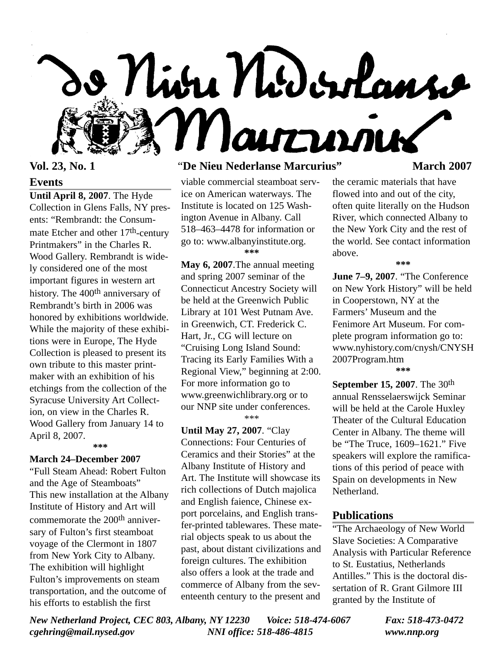

# **Events**

**Until April 8, 2007**. The Hyde Collection in Glens Falls, NY presents: "Rembrandt: the Consummate Etcher and other 17th-century Printmakers" in the Charles R. Wood Gallery. Rembrandt is widely considered one of the most important figures in western art history. The 400<sup>th</sup> anniversary of Rembrandt's birth in 2006 was honored by exhibitions worldwide. While the majority of these exhibitions were in Europe, The Hyde Collection is pleased to present its own tribute to this master printmaker with an exhibition of his etchings from the collection of the Syracuse University Art Collection, on view in the Charles R. Wood Gallery from January 14 to April 8, 2007.

**\*\*\***

# **March 24–December 2007**

"Full Steam Ahead: Robert Fulton and the Age of Steamboats" This new installation at the Albany Institute of History and Art will commemorate the 200<sup>th</sup> anniversary of Fulton's first steamboat voyage of the Clermont in 1807 from New York City to Albany. The exhibition will highlight Fulton's improvements on steam transportation, and the outcome of his efforts to establish the first

# **Vol. 23, No. 1** "**De Nieu Nederlanse Marcurius" March 2007**

viable commercial steamboat service on American waterways. The Institute is located on 125 Washington Avenue in Albany. Call 518–463–4478 for information or go to: www.albanyinstitute.org. **\*\*\***

**May 6, 2007**.The annual meeting and spring 2007 seminar of the Connecticut Ancestry Society will be held at the Greenwich Public Library at 101 West Putnam Ave. in Greenwich, CT. Frederick C. Hart, Jr., CG will lecture on "Cruising Long Island Sound: Tracing its Early Families With a Regional View," beginning at 2:00. For more information go to www.greenwichlibrary.org or to our NNP site under conferences. \*\*\*

**Until May 27, 2007**. "Clay Connections: Four Centuries of Ceramics and their Stories" at the Albany Institute of History and Art. The Institute will showcase its rich collections of Dutch majolica and English faience, Chinese export porcelains, and English transfer-printed tablewares. These material objects speak to us about the past, about distant civilizations and foreign cultures. The exhibition also offers a look at the trade and commerce of Albany from the seventeenth century to the present and

the ceramic materials that have flowed into and out of the city, often quite literally on the Hudson River, which connected Albany to the New York City and the rest of the world. See contact information above.

**\*\*\***

**June 7–9, 2007**. "The Conference on New York History" will be held in Cooperstown, NY at the Farmers' Museum and the Fenimore Art Museum. For complete program information go to: www.nyhistory.com/cnysh/CNYSH 2007Program.htm

**\*\*\***

**September 15, 2007**. The 30th annual Rensselaerswijck Seminar will be held at the Carole Huxley Theater of the Cultural Education Center in Albany. The theme will be "The Truce, 1609–1621." Five speakers will explore the ramifications of this period of peace with Spain on developments in New Netherland.

### **Publications**

"The Archaeology of New World Slave Societies: A Comparative Analysis with Particular Reference to St. Eustatius, Netherlands Antilles." This is the doctoral dissertation of R. Grant Gilmore III granted by the Institute of

*New Netherland Project, CEC 803, Albany, NY 12230 Voice: 518-474-6067 Fax: 518-473-0472 cgehring@mail.nysed.gov NNI office: 518-486-4815 www.nnp.org*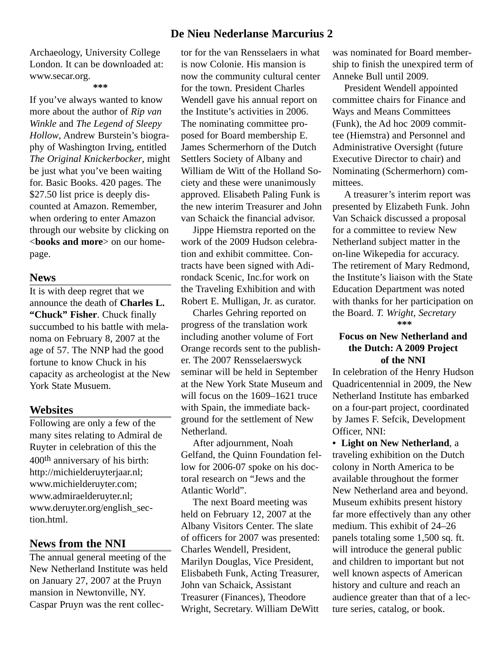Archaeology, University College London. It can be downloaded at: www.secar.org.

#### **\*\*\***

If you've always wanted to know more about the author of *Rip van Winkle* and *The Legend of Sleepy Hollow*, Andrew Burstein's biography of Washington Irving, entitled *The Original Knickerbocker*, might be just what you've been waiting for. Basic Books. 420 pages. The \$27.50 list price is deeply discounted at Amazon. Remember, when ordering to enter Amazon through our website by clicking on <**books and more**> on our homepage.

#### **News**

It is with deep regret that we announce the death of **Charles L. "Chuck" Fisher**. Chuck finally succumbed to his battle with melanoma on February 8, 2007 at the age of 57. The NNP had the good fortune to know Chuck in his capacity as archeologist at the New York State Musuem.

#### **Websites**

Following are only a few of the many sites relating to Admiral de Ruyter in celebration of this the 400th anniversary of his birth: http://michielderuyterjaar.nl; www.michielderuyter.com; www.admiraelderuyter.nl; www.deruyter.org/english\_section.html.

# **News from the NNI**

The annual general meeting of the New Netherland Institute was held on January 27, 2007 at the Pruyn mansion in Newtonville, NY. Caspar Pruyn was the rent collec-

# **De Nieu Nederlanse Marcurius 2**

tor for the van Rensselaers in what is now Colonie. His mansion is now the community cultural center for the town. President Charles Wendell gave his annual report on the Institute's activities in 2006. The nominating committee proposed for Board membership E. James Schermerhorn of the Dutch Settlers Society of Albany and William de Witt of the Holland Society and these were unanimously approved. Elisabeth Paling Funk is the new interim Treasurer and John van Schaick the financial advisor.

Jippe Hiemstra reported on the work of the 2009 Hudson celebration and exhibit committee. Contracts have been signed with Adirondack Scenic, Inc.for work on the Traveling Exhibition and with Robert E. Mulligan, Jr. as curator.

Charles Gehring reported on progress of the translation work including another volume of Fort Orange records sent to the publisher. The 2007 Rensselaerswyck seminar will be held in September at the New York State Museum and will focus on the 1609–1621 truce with Spain, the immediate background for the settlement of New Netherland.

After adjournment, Noah Gelfand, the Quinn Foundation fellow for 2006-07 spoke on his doctoral research on "Jews and the Atlantic World".

The next Board meeting was held on February 12, 2007 at the Albany Visitors Center. The slate of officers for 2007 was presented: Charles Wendell, President, Marilyn Douglas, Vice President, Elisbabeth Funk, Acting Treasurer, John van Schaick, Assistant Treasurer (Finances), Theodore Wright, Secretary. William DeWitt

was nominated for Board membership to finish the unexpired term of Anneke Bull until 2009.

President Wendell appointed committee chairs for Finance and Ways and Means Committees (Funk), the Ad hoc 2009 committee (Hiemstra) and Personnel and Administrative Oversight (future Executive Director to chair) and Nominating (Schermerhorn) committees.

A treasurer's interim report was presented by Elizabeth Funk. John Van Schaick discussed a proposal for a committee to review New Netherland subject matter in the on-line Wikepedia for accuracy. The retirement of Mary Redmond, the Institute's liaison with the State Education Department was noted with thanks for her participation on the Board. *T. Wright, Secretary* **\*\*\***

## **Focus on New Netherland and the Dutch: A 2009 Project of the NNI**

In celebration of the Henry Hudson Quadricentennial in 2009, the New Netherland Institute has embarked on a four-part project, coordinated by James F. Sefcik, Development Officer, NNI:

**• Light on New Netherland**, a traveling exhibition on the Dutch colony in North America to be available throughout the former New Netherland area and beyond. Museum exhibits present history far more effectively than any other medium. This exhibit of 24–26 panels totaling some 1,500 sq. ft. will introduce the general public and children to important but not well known aspects of American history and culture and reach an audience greater than that of a lecture series, catalog, or book.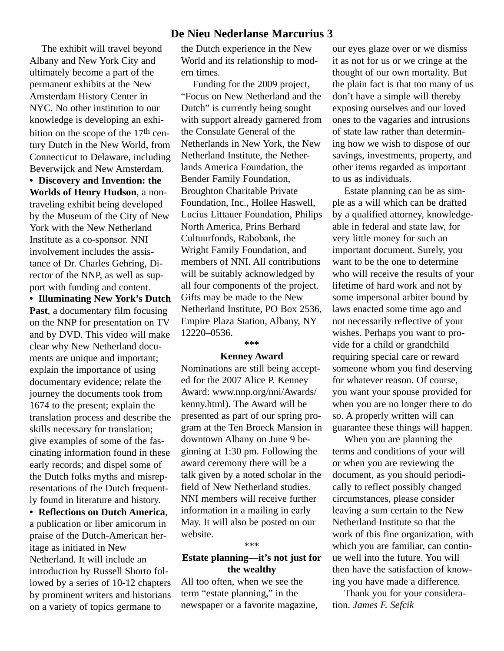# **De Nieu Nederlanse Marcurius 3**

The exhibit will travel beyond Albany and New York City and ultimately become a part of the permanent exhibits at the New Amsterdam History Center in NYC. No other institution to our knowledge is developing an exhibition on the scope of the  $17<sup>th</sup>$  century Dutch in the New World, from Connecticut to Delaware, including Beverwijck and New Amsterdam.

**• Discovery and Invention: the Worlds of Henry Hudson**, a nontraveling exhibit being developed by the Museum of the City of New York with the New Netherland Institute as a co-sponsor. NNI involvement includes the assistance of Dr. Charles Gehring, Director of the NNP, as well as support with funding and content.

**• Illuminating New York's Dutch Past**, a documentary film focusing on the NNP for presentation on TV and by DVD. This video will make clear why New Netherland documents are unique and important; explain the importance of using documentary evidence; relate the journey the documents took from 1674 to the present; explain the translation process and describe the skills necessary for translation; give examples of some of the fascinating information found in these early records; and dispel some of the Dutch folks myths and misrepresentations of the Dutch frequently found in literature and history.

**• Reflections on Dutch America**, a publication or liber amicorum in praise of the Dutch-American heritage as initiated in New Netherland. It will include an introduction by Russell Shorto followed by a series of 10-12 chapters by prominent writers and historians on a variety of topics germane to

the Dutch experience in the New World and its relationship to modern times.

Funding for the 2009 project, "Focus on New Netherland and the Dutch" is currently being sought with support already garnered from the Consulate General of the Netherlands in New York, the New Netherland Institute, the Netherlands America Foundation, the Bender Family Foundation, Broughton Charitable Private Foundation, Inc., Hollee Haswell, Lucius Littauer Foundation, Philips North America, Prins Berhard Cultuurfonds, Rabobank, the Wright Family Foundation, and members of NNI. All contributions will be suitably acknowledged by all four components of the project. Gifts may be made to the New Netherland Institute, PO Box 2536, Empire Plaza Station, Albany, NY 12220–0536.

#### **\*\*\***

#### **Kenney Award**

Nominations are still being accepted for the 2007 Alice P. Kenney Award: www.nnp.org/nni/Awards/ kenny.html). The Award will be presented as part of our spring program at the Ten Broeck Mansion in downtown Albany on June 9 beginning at 1:30 pm. Following the award ceremony there will be a talk given by a noted scholar in the field of New Netherland studies. NNI members will receive further information in a mailing in early May. It will also be posted on our website.

#### \*\*\*

# **Estate planning—it's not just for the wealthy**

All too often, when we see the term "estate planning," in the newspaper or a favorite magazine, our eyes glaze over or we dismiss it as not for us or we cringe at the thought of our own mortality. But the plain fact is that too many of us don't have a simple will thereby exposing ourselves and our loved ones to the vagaries and intrusions of state law rather than determining how we wish to dispose of our savings, investments, property, and other items regarded as important to us as individuals.

Estate planning can be as simple as a will which can be drafted by a qualified attorney, knowledgeable in federal and state law, for very little money for such an important document. Surely, you want to be the one to determine who will receive the results of your lifetime of hard work and not by some impersonal arbiter bound by laws enacted some time ago and not necessarily reflective of your wishes. Perhaps you want to provide for a child or grandchild requiring special care or reward someone whom you find deserving for whatever reason. Of course, you want your spouse provided for when you are no longer there to do so. A properly written will can guarantee these things will happen.

When you are planning the terms and conditions of your will or when you are reviewing the document, as you should periodically to reflect possibly changed circumstances, please consider leaving a sum certain to the New Netherland Institute so that the work of this fine organization, with which you are familiar, can continue well into the future. You will then have the satisfaction of knowing you have made a difference.

Thank you for your consideration. *James F. Sefcik*